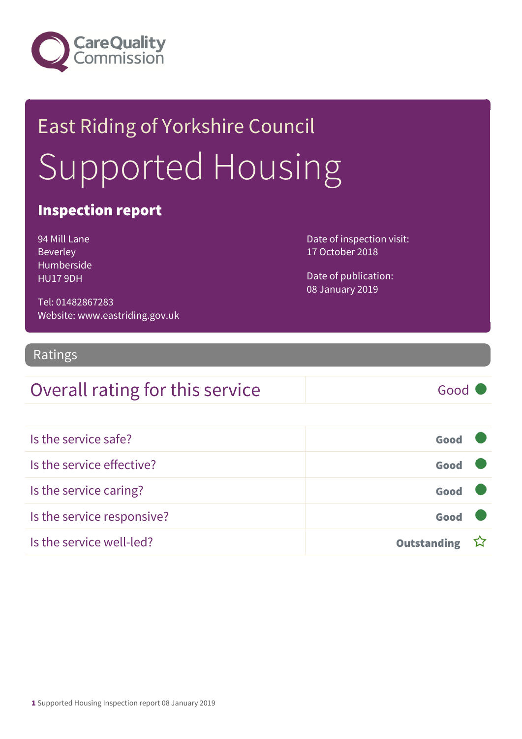

# East Riding of Yorkshire Council Supported Housing

#### Inspection report

| 94 Mill Lane      |
|-------------------|
| <b>Beverley</b>   |
| <b>Humberside</b> |
| HU179DH           |

Date of inspection visit: 17 October 2018

Date of publication: 08 January 2019

Tel: 01482867283 Website: www.eastriding.gov.uk

#### Ratings

#### Overall rating for this service Good

| Is the service safe?       | Good               |  |
|----------------------------|--------------------|--|
| Is the service effective?  | Good               |  |
| Is the service caring?     | Good               |  |
| Is the service responsive? | Good               |  |
| Is the service well-led?   | <b>Outstanding</b> |  |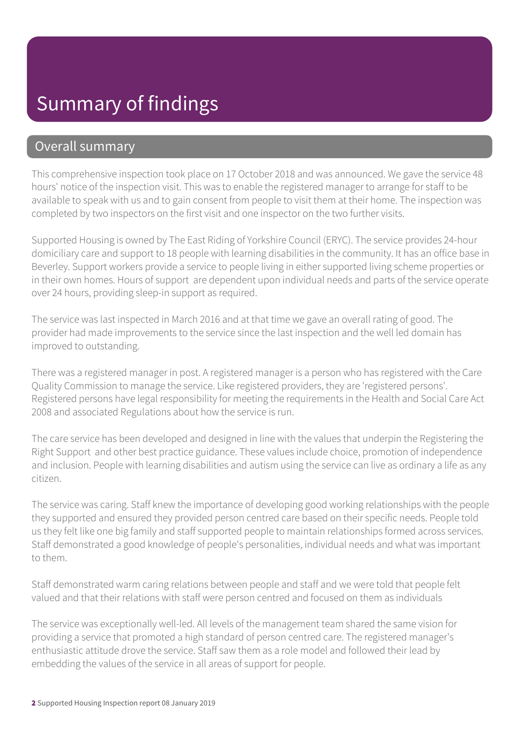### Summary of findings

#### Overall summary

This comprehensive inspection took place on 17 October 2018 and was announced. We gave the service 48 hours' notice of the inspection visit. This was to enable the registered manager to arrange for staff to be available to speak with us and to gain consent from people to visit them at their home. The inspection was completed by two inspectors on the first visit and one inspector on the two further visits.

Supported Housing is owned by The East Riding of Yorkshire Council (ERYC). The service provides 24-hour domiciliary care and support to 18 people with learning disabilities in the community. It has an office base in Beverley. Support workers provide a service to people living in either supported living scheme properties or in their own homes. Hours of support are dependent upon individual needs and parts of the service operate over 24 hours, providing sleep-in support as required.

The service was last inspected in March 2016 and at that time we gave an overall rating of good. The provider had made improvements to the service since the last inspection and the well led domain has improved to outstanding.

There was a registered manager in post. A registered manager is a person who has registered with the Care Quality Commission to manage the service. Like registered providers, they are 'registered persons'. Registered persons have legal responsibility for meeting the requirements in the Health and Social Care Act 2008 and associated Regulations about how the service is run.

The care service has been developed and designed in line with the values that underpin the Registering the Right Support and other best practice guidance. These values include choice, promotion of independence and inclusion. People with learning disabilities and autism using the service can live as ordinary a life as any citizen.

The service was caring. Staff knew the importance of developing good working relationships with the people they supported and ensured they provided person centred care based on their specific needs. People told us they felt like one big family and staff supported people to maintain relationships formed across services. Staff demonstrated a good knowledge of people's personalities, individual needs and what was important to them.

Staff demonstrated warm caring relations between people and staff and we were told that people felt valued and that their relations with staff were person centred and focused on them as individuals

The service was exceptionally well-led. All levels of the management team shared the same vision for providing a service that promoted a high standard of person centred care. The registered manager's enthusiastic attitude drove the service. Staff saw them as a role model and followed their lead by embedding the values of the service in all areas of support for people.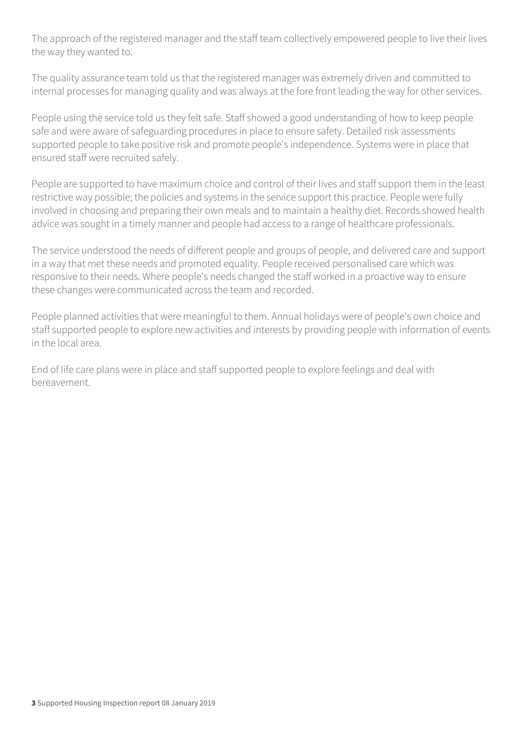The approach of the registered manager and the staff team collectively empowered people to live their lives the way they wanted to.

The quality assurance team told us that the registered manager was extremely driven and committed to internal processes for managing quality and was always at the fore front leading the way for other services.

People using the service told us they felt safe. Staff showed a good understanding of how to keep people safe and were aware of safeguarding procedures in place to ensure safety. Detailed risk assessments supported people to take positive risk and promote people's independence. Systems were in place that ensured staff were recruited safely.

People are supported to have maximum choice and control of their lives and staff support them in the least restrictive way possible; the policies and systems in the service support this practice. People were fully involved in choosing and preparing their own meals and to maintain a healthy diet. Records showed health advice was sought in a timely manner and people had access to a range of healthcare professionals.

The service understood the needs of different people and groups of people, and delivered care and support in a way that met these needs and promoted equality. People received personalised care which was responsive to their needs. Where people's needs changed the staff worked in a proactive way to ensure these changes were communicated across the team and recorded.

People planned activities that were meaningful to them. Annual holidays were of people's own choice and staff supported people to explore new activities and interests by providing people with information of events in the local area.

End of life care plans were in place and staff supported people to explore feelings and deal with bereavement.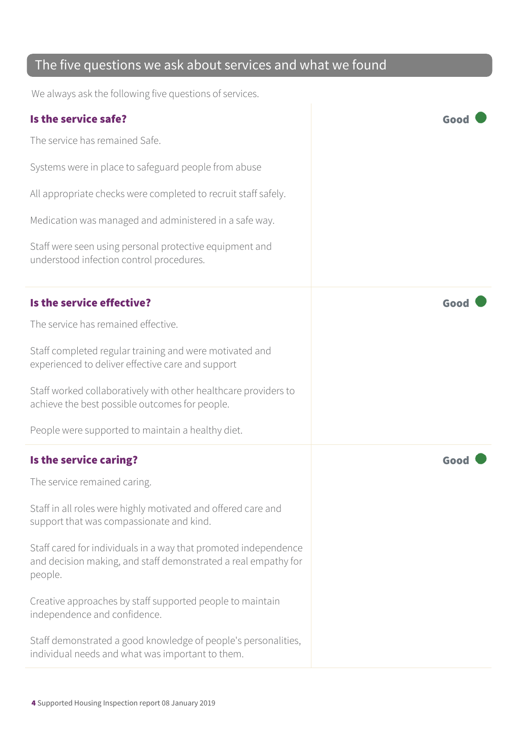#### The five questions we ask about services and what we found

We always ask the following five questions of services.

| Is the service safe?                                                                                                                         | Goo  |
|----------------------------------------------------------------------------------------------------------------------------------------------|------|
| The service has remained Safe.                                                                                                               |      |
| Systems were in place to safeguard people from abuse                                                                                         |      |
| All appropriate checks were completed to recruit staff safely.                                                                               |      |
| Medication was managed and administered in a safe way.                                                                                       |      |
| Staff were seen using personal protective equipment and<br>understood infection control procedures.                                          |      |
| Is the service effective?                                                                                                                    | Good |
| The service has remained effective.                                                                                                          |      |
| Staff completed regular training and were motivated and<br>experienced to deliver effective care and support                                 |      |
| Staff worked collaboratively with other healthcare providers to<br>achieve the best possible outcomes for people.                            |      |
| People were supported to maintain a healthy diet.                                                                                            |      |
| Is the service caring?                                                                                                                       | Goo  |
| The service remained caring.                                                                                                                 |      |
| Staff in all roles were highly motivated and offered care and<br>support that was compassionate and kind.                                    |      |
| Staff cared for individuals in a way that promoted independence<br>and decision making, and staff demonstrated a real empathy for<br>people. |      |
| Creative approaches by staff supported people to maintain<br>independence and confidence.                                                    |      |
| Staff demonstrated a good knowledge of people's personalities,<br>individual needs and what was important to them.                           |      |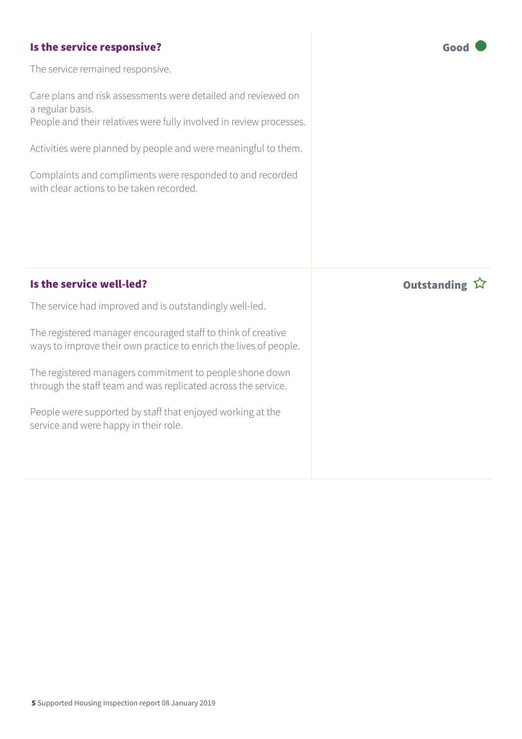#### Is the service responsive? The service responsive?

The service remained responsive.

Care plans and risk assessments were detailed and reviewed on a regular basis.

People and their relatives were fully involved in review processes.

Activities were planned by people and were meaningful to them.

Complaints and compliments were responded to and recorded with clear actions to be taken recorded.

#### Is the service well-led? In the service well-led?

The service had improved and is outstandingly well-led.

The registered manager encouraged staff to think of creative ways to improve their own practice to enrich the lives of people.

The registered managers commitment to people shone down through the staff team and was replicated across the service.

People were supported by staff that enjoyed working at the service and were happy in their role.

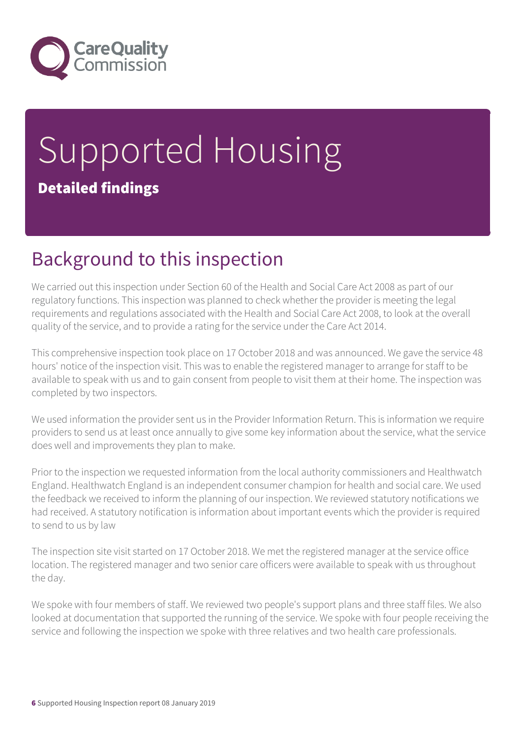

# Supported Housing Detailed findings

## Background to this inspection

We carried out this inspection under Section 60 of the Health and Social Care Act 2008 as part of our regulatory functions. This inspection was planned to check whether the provider is meeting the legal requirements and regulations associated with the Health and Social Care Act 2008, to look at the overall quality of the service, and to provide a rating for the service under the Care Act 2014.

This comprehensive inspection took place on 17 October 2018 and was announced. We gave the service 48 hours' notice of the inspection visit. This was to enable the registered manager to arrange for staff to be available to speak with us and to gain consent from people to visit them at their home. The inspection was completed by two inspectors.

We used information the provider sent us in the Provider Information Return. This is information we require providers to send us at least once annually to give some key information about the service, what the service does well and improvements they plan to make.

Prior to the inspection we requested information from the local authority commissioners and Healthwatch England. Healthwatch England is an independent consumer champion for health and social care. We used the feedback we received to inform the planning of our inspection. We reviewed statutory notifications we had received. A statutory notification is information about important events which the provider is required to send to us by law

The inspection site visit started on 17 October 2018. We met the registered manager at the service office location. The registered manager and two senior care officers were available to speak with us throughout the day.

We spoke with four members of staff. We reviewed two people's support plans and three staff files. We also looked at documentation that supported the running of the service. We spoke with four people receiving the service and following the inspection we spoke with three relatives and two health care professionals.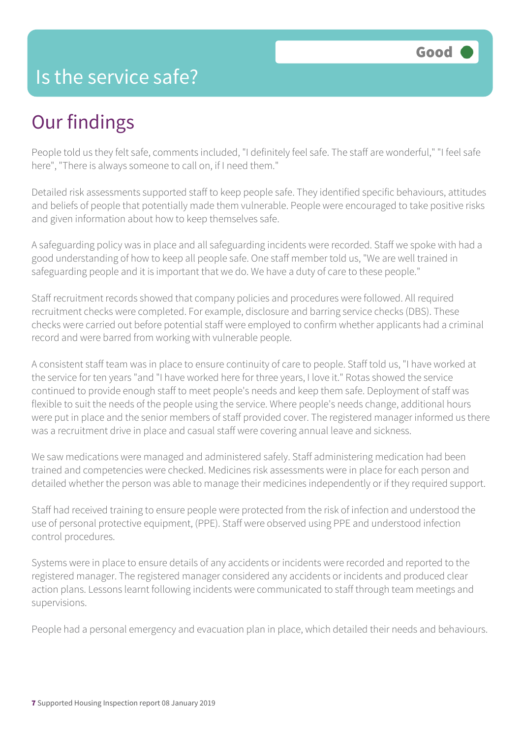#### Is the service safe?

### Our findings

People told us they felt safe, comments included, "I definitely feel safe. The staff are wonderful," "I feel safe here", "There is always someone to call on, if I need them."

Detailed risk assessments supported staff to keep people safe. They identified specific behaviours, attitudes and beliefs of people that potentially made them vulnerable. People were encouraged to take positive risks and given information about how to keep themselves safe.

A safeguarding policy was in place and all safeguarding incidents were recorded. Staff we spoke with had a good understanding of how to keep all people safe. One staff member told us, "We are well trained in safeguarding people and it is important that we do. We have a duty of care to these people."

Staff recruitment records showed that company policies and procedures were followed. All required recruitment checks were completed. For example, disclosure and barring service checks (DBS). These checks were carried out before potential staff were employed to confirm whether applicants had a criminal record and were barred from working with vulnerable people.

A consistent staff team was in place to ensure continuity of care to people. Staff told us, "I have worked at the service for ten years "and "I have worked here for three years, I love it." Rotas showed the service continued to provide enough staff to meet people's needs and keep them safe. Deployment of staff was flexible to suit the needs of the people using the service. Where people's needs change, additional hours were put in place and the senior members of staff provided cover. The registered manager informed us there was a recruitment drive in place and casual staff were covering annual leave and sickness.

We saw medications were managed and administered safely. Staff administering medication had been trained and competencies were checked. Medicines risk assessments were in place for each person and detailed whether the person was able to manage their medicines independently or if they required support.

Staff had received training to ensure people were protected from the risk of infection and understood the use of personal protective equipment, (PPE). Staff were observed using PPE and understood infection control procedures.

Systems were in place to ensure details of any accidents or incidents were recorded and reported to the registered manager. The registered manager considered any accidents or incidents and produced clear action plans. Lessons learnt following incidents were communicated to staff through team meetings and supervisions.

People had a personal emergency and evacuation plan in place, which detailed their needs and behaviours.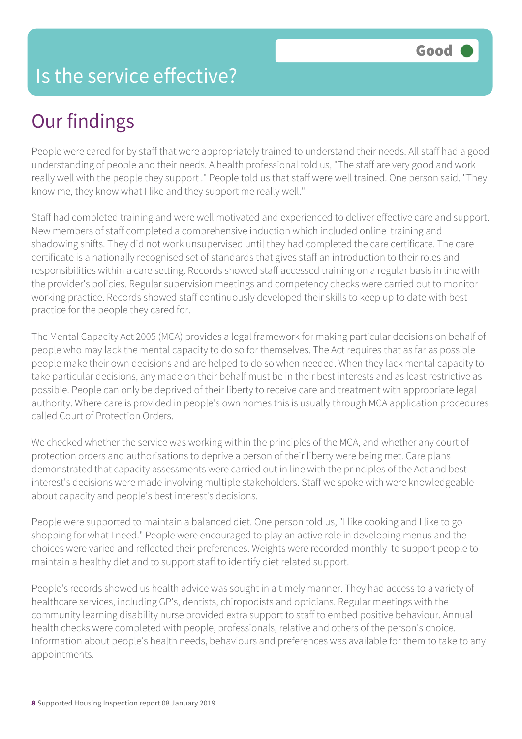#### Is the service effective?

# Our findings

People were cared for by staff that were appropriately trained to understand their needs. All staff had a good understanding of people and their needs. A health professional told us, "The staff are very good and work really well with the people they support ." People told us that staff were well trained. One person said. "They know me, they know what I like and they support me really well."

Staff had completed training and were well motivated and experienced to deliver effective care and support. New members of staff completed a comprehensive induction which included online training and shadowing shifts. They did not work unsupervised until they had completed the care certificate. The care certificate is a nationally recognised set of standards that gives staff an introduction to their roles and responsibilities within a care setting. Records showed staff accessed training on a regular basis in line with the provider's policies. Regular supervision meetings and competency checks were carried out to monitor working practice. Records showed staff continuously developed their skills to keep up to date with best practice for the people they cared for.

The Mental Capacity Act 2005 (MCA) provides a legal framework for making particular decisions on behalf of people who may lack the mental capacity to do so for themselves. The Act requires that as far as possible people make their own decisions and are helped to do so when needed. When they lack mental capacity to take particular decisions, any made on their behalf must be in their best interests and as least restrictive as possible. People can only be deprived of their liberty to receive care and treatment with appropriate legal authority. Where care is provided in people's own homes this is usually through MCA application procedures called Court of Protection Orders.

We checked whether the service was working within the principles of the MCA, and whether any court of protection orders and authorisations to deprive a person of their liberty were being met. Care plans demonstrated that capacity assessments were carried out in line with the principles of the Act and best interest's decisions were made involving multiple stakeholders. Staff we spoke with were knowledgeable about capacity and people's best interest's decisions.

People were supported to maintain a balanced diet. One person told us, "I like cooking and I like to go shopping for what I need." People were encouraged to play an active role in developing menus and the choices were varied and reflected their preferences. Weights were recorded monthly to support people to maintain a healthy diet and to support staff to identify diet related support.

People's records showed us health advice was sought in a timely manner. They had access to a variety of healthcare services, including GP's, dentists, chiropodists and opticians. Regular meetings with the community learning disability nurse provided extra support to staff to embed positive behaviour. Annual health checks were completed with people, professionals, relative and others of the person's choice. Information about people's health needs, behaviours and preferences was available for them to take to any appointments.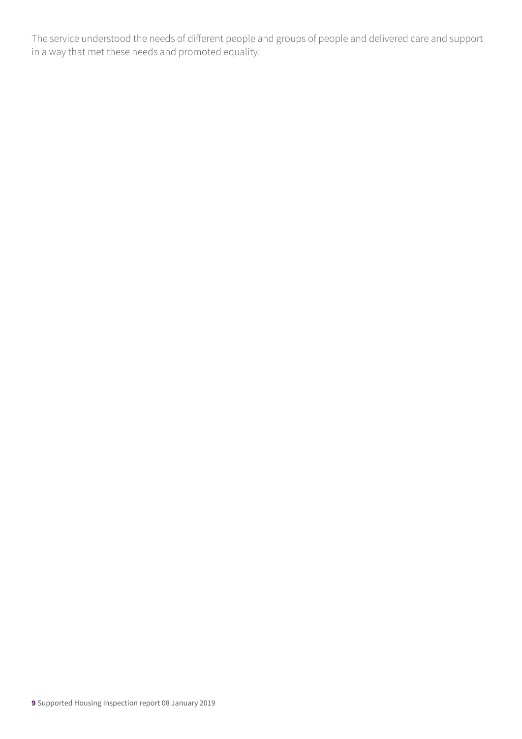The service understood the needs of different people and groups of people and delivered care and support in a way that met these needs and promoted equality.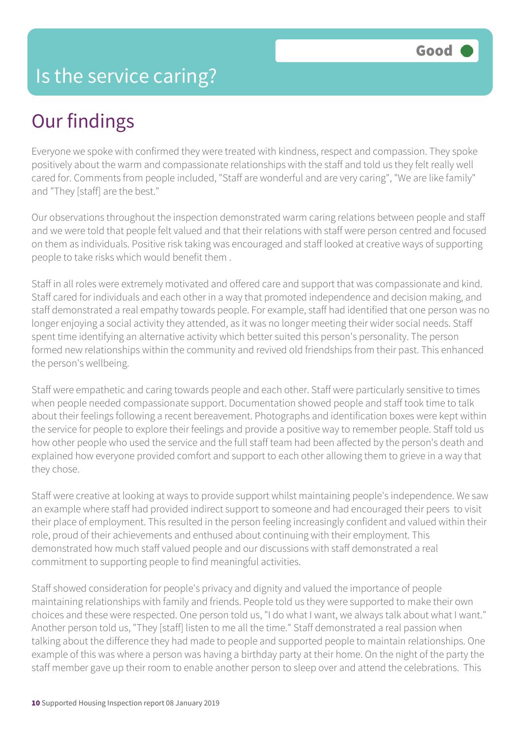## Our findings

Everyone we spoke with confirmed they were treated with kindness, respect and compassion. They spoke positively about the warm and compassionate relationships with the staff and told us they felt really well cared for. Comments from people included, "Staff are wonderful and are very caring", "We are like family" and "They [staff] are the best."

Our observations throughout the inspection demonstrated warm caring relations between people and staff and we were told that people felt valued and that their relations with staff were person centred and focused on them as individuals. Positive risk taking was encouraged and staff looked at creative ways of supporting people to take risks which would benefit them .

Staff in all roles were extremely motivated and offered care and support that was compassionate and kind. Staff cared for individuals and each other in a way that promoted independence and decision making, and staff demonstrated a real empathy towards people. For example, staff had identified that one person was no longer enjoying a social activity they attended, as it was no longer meeting their wider social needs. Staff spent time identifying an alternative activity which better suited this person's personality. The person formed new relationships within the community and revived old friendships from their past. This enhanced the person's wellbeing.

Staff were empathetic and caring towards people and each other. Staff were particularly sensitive to times when people needed compassionate support. Documentation showed people and staff took time to talk about their feelings following a recent bereavement. Photographs and identification boxes were kept within the service for people to explore their feelings and provide a positive way to remember people. Staff told us how other people who used the service and the full staff team had been affected by the person's death and explained how everyone provided comfort and support to each other allowing them to grieve in a way that they chose.

Staff were creative at looking at ways to provide support whilst maintaining people's independence. We saw an example where staff had provided indirect support to someone and had encouraged their peers to visit their place of employment. This resulted in the person feeling increasingly confident and valued within their role, proud of their achievements and enthused about continuing with their employment. This demonstrated how much staff valued people and our discussions with staff demonstrated a real commitment to supporting people to find meaningful activities.

Staff showed consideration for people's privacy and dignity and valued the importance of people maintaining relationships with family and friends. People told us they were supported to make their own choices and these were respected. One person told us, "I do what I want, we always talk about what I want." Another person told us, "They [staff] listen to me all the time." Staff demonstrated a real passion when talking about the difference they had made to people and supported people to maintain relationships. One example of this was where a person was having a birthday party at their home. On the night of the party the staff member gave up their room to enable another person to sleep over and attend the celebrations. This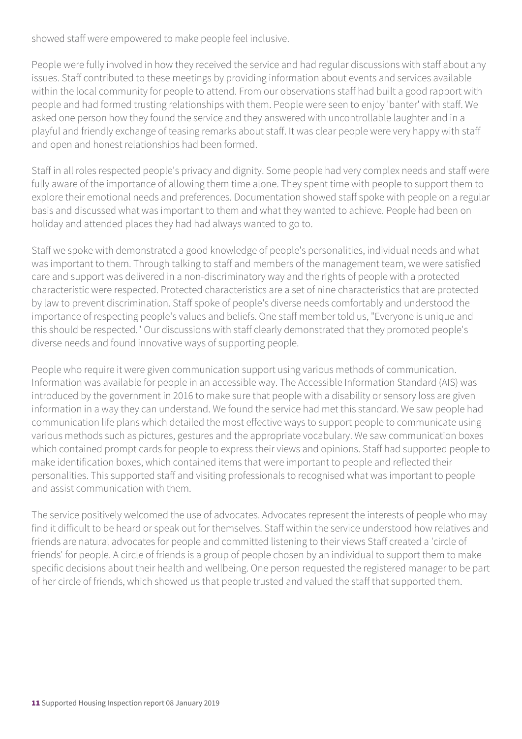showed staff were empowered to make people feel inclusive.

People were fully involved in how they received the service and had regular discussions with staff about any issues. Staff contributed to these meetings by providing information about events and services available within the local community for people to attend. From our observations staff had built a good rapport with people and had formed trusting relationships with them. People were seen to enjoy 'banter' with staff. We asked one person how they found the service and they answered with uncontrollable laughter and in a playful and friendly exchange of teasing remarks about staff. It was clear people were very happy with staff and open and honest relationships had been formed.

Staff in all roles respected people's privacy and dignity. Some people had very complex needs and staff were fully aware of the importance of allowing them time alone. They spent time with people to support them to explore their emotional needs and preferences. Documentation showed staff spoke with people on a regular basis and discussed what was important to them and what they wanted to achieve. People had been on holiday and attended places they had had always wanted to go to.

Staff we spoke with demonstrated a good knowledge of people's personalities, individual needs and what was important to them. Through talking to staff and members of the management team, we were satisfied care and support was delivered in a non-discriminatory way and the rights of people with a protected characteristic were respected. Protected characteristics are a set of nine characteristics that are protected by law to prevent discrimination. Staff spoke of people's diverse needs comfortably and understood the importance of respecting people's values and beliefs. One staff member told us, "Everyone is unique and this should be respected." Our discussions with staff clearly demonstrated that they promoted people's diverse needs and found innovative ways of supporting people.

People who require it were given communication support using various methods of communication. Information was available for people in an accessible way. The Accessible Information Standard (AIS) was introduced by the government in 2016 to make sure that people with a disability or sensory loss are given information in a way they can understand. We found the service had met this standard. We saw people had communication life plans which detailed the most effective ways to support people to communicate using various methods such as pictures, gestures and the appropriate vocabulary. We saw communication boxes which contained prompt cards for people to express their views and opinions. Staff had supported people to make identification boxes, which contained items that were important to people and reflected their personalities. This supported staff and visiting professionals to recognised what was important to people and assist communication with them.

The service positively welcomed the use of advocates. Advocates represent the interests of people who may find it difficult to be heard or speak out for themselves. Staff within the service understood how relatives and friends are natural advocates for people and committed listening to their views Staff created a 'circle of friends' for people. A circle of friends is a group of people chosen by an individual to support them to make specific decisions about their health and wellbeing. One person requested the registered manager to be part of her circle of friends, which showed us that people trusted and valued the staff that supported them.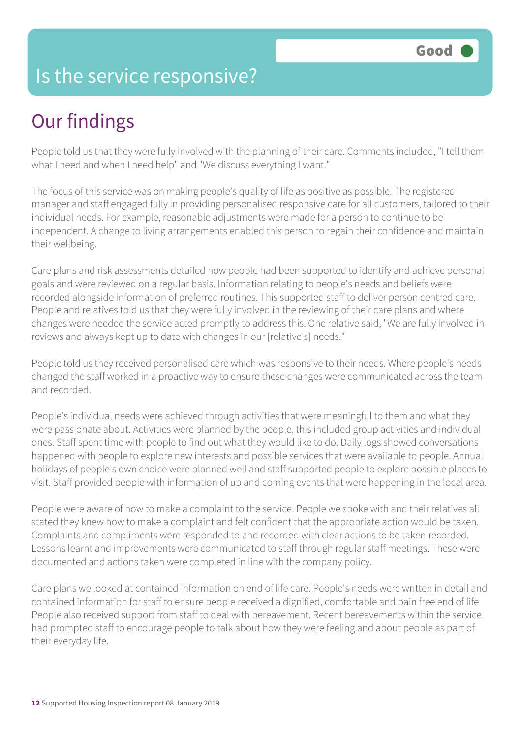### Is the service responsive?

# Our findings

People told us that they were fully involved with the planning of their care. Comments included, "I tell them what I need and when I need help" and "We discuss everything I want."

The focus of this service was on making people's quality of life as positive as possible. The registered manager and staff engaged fully in providing personalised responsive care for all customers, tailored to their individual needs. For example, reasonable adjustments were made for a person to continue to be independent. A change to living arrangements enabled this person to regain their confidence and maintain their wellbeing.

Care plans and risk assessments detailed how people had been supported to identify and achieve personal goals and were reviewed on a regular basis. Information relating to people's needs and beliefs were recorded alongside information of preferred routines. This supported staff to deliver person centred care. People and relatives told us that they were fully involved in the reviewing of their care plans and where changes were needed the service acted promptly to address this. One relative said, "We are fully involved in reviews and always kept up to date with changes in our [relative's] needs."

People told us they received personalised care which was responsive to their needs. Where people's needs changed the staff worked in a proactive way to ensure these changes were communicated across the team and recorded.

People's individual needs were achieved through activities that were meaningful to them and what they were passionate about. Activities were planned by the people, this included group activities and individual ones. Staff spent time with people to find out what they would like to do. Daily logs showed conversations happened with people to explore new interests and possible services that were available to people. Annual holidays of people's own choice were planned well and staff supported people to explore possible places to visit. Staff provided people with information of up and coming events that were happening in the local area.

People were aware of how to make a complaint to the service. People we spoke with and their relatives all stated they knew how to make a complaint and felt confident that the appropriate action would be taken. Complaints and compliments were responded to and recorded with clear actions to be taken recorded. Lessons learnt and improvements were communicated to staff through regular staff meetings. These were documented and actions taken were completed in line with the company policy.

Care plans we looked at contained information on end of life care. People's needs were written in detail and contained information for staff to ensure people received a dignified, comfortable and pain free end of life People also received support from staff to deal with bereavement. Recent bereavements within the service had prompted staff to encourage people to talk about how they were feeling and about people as part of their everyday life.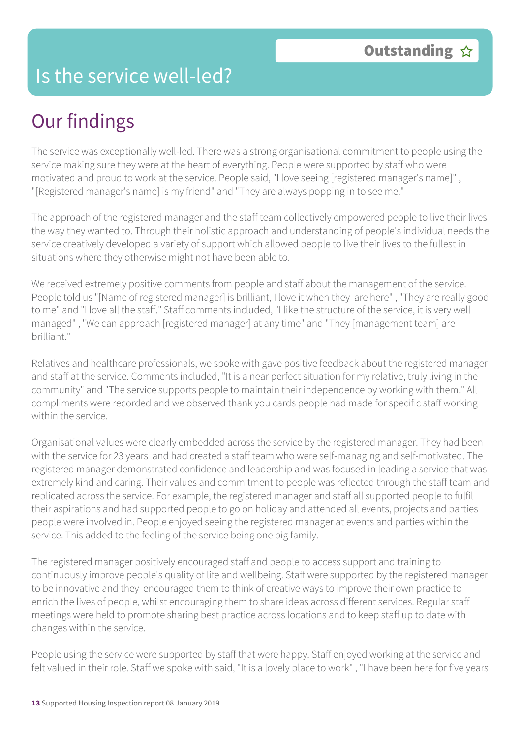#### Is the service well-led?

# Our findings

The service was exceptionally well-led. There was a strong organisational commitment to people using the service making sure they were at the heart of everything. People were supported by staff who were motivated and proud to work at the service. People said, "I love seeing [registered manager's name]" , "[Registered manager's name] is my friend" and "They are always popping in to see me."

The approach of the registered manager and the staff team collectively empowered people to live their lives the way they wanted to. Through their holistic approach and understanding of people's individual needs the service creatively developed a variety of support which allowed people to live their lives to the fullest in situations where they otherwise might not have been able to.

We received extremely positive comments from people and staff about the management of the service. People told us "[Name of registered manager] is brilliant, I love it when they are here", "They are really good to me" and "I love all the staff." Staff comments included, "I like the structure of the service, it is very well managed" , "We can approach [registered manager] at any time" and "They [management team] are brilliant."

Relatives and healthcare professionals, we spoke with gave positive feedback about the registered manager and staff at the service. Comments included, "It is a near perfect situation for my relative, truly living in the community" and "The service supports people to maintain their independence by working with them." All compliments were recorded and we observed thank you cards people had made for specific staff working within the service.

Organisational values were clearly embedded across the service by the registered manager. They had been with the service for 23 years and had created a staff team who were self-managing and self-motivated. The registered manager demonstrated confidence and leadership and was focused in leading a service that was extremely kind and caring. Their values and commitment to people was reflected through the staff team and replicated across the service. For example, the registered manager and staff all supported people to fulfil their aspirations and had supported people to go on holiday and attended all events, projects and parties people were involved in. People enjoyed seeing the registered manager at events and parties within the service. This added to the feeling of the service being one big family.

The registered manager positively encouraged staff and people to access support and training to continuously improve people's quality of life and wellbeing. Staff were supported by the registered manager to be innovative and they encouraged them to think of creative ways to improve their own practice to enrich the lives of people, whilst encouraging them to share ideas across different services. Regular staff meetings were held to promote sharing best practice across locations and to keep staff up to date with changes within the service.

People using the service were supported by staff that were happy. Staff enjoyed working at the service and felt valued in their role. Staff we spoke with said, "It is a lovely place to work" , "I have been here for five years